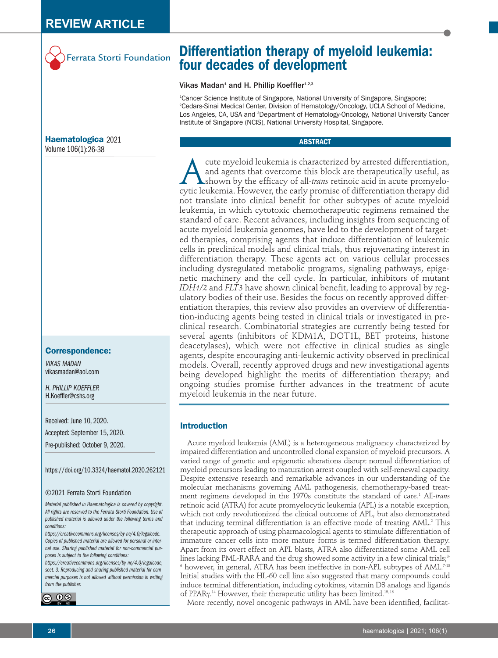

# **Haematologica** 2021 Volume 106(1):26-38

#### **Correspondence:**

*VIKAS MADAN* vikasmadan@aol.com

*H. PHILLIP KOEFFLER* H.Koeffler@cshs.org

Received: June 10, 2020.

Accepted: September 15, 2020.

Pre-published: October 9, 2020.

https://doi.org/10.3324/haematol.2020.262121

#### ©2021 Ferrata Storti Foundation

*Material published in Haematologica is covered by copyright. All rights are reserved to the Ferrata Storti Foundation. Use of published material is allowed under the following terms and conditions:* 

*https://creativecommons.org/licenses/by-nc/4.0/legalcode. Copies of published material are allowed for personal or internal use. Sharing published material for non-commercial purposes is subject to the following conditions:* 

*https://creativecommons.org/licenses/by-nc/4.0/legalcode, sect. 3. Reproducing and sharing published material for commercial purposes is not allowed without permission in writing from the publisher.*



# **Differentiation therapy of myeloid leukemia: four decades of development**

#### Vikas Madan<sup>1</sup> and H. Phillip Koeffler<sup>1,2,3</sup>

1 Cancer Science Institute of Singapore, National University of Singapore, Singapore; 2 Cedars-Sinai Medical Center, Division of Hematology/Oncology, UCLA School of Medicine, Los Angeles, CA, USA and <sup>3</sup>Department of Hematology-Oncology, National University Cancer Institute of Singapore (NCIS), National University Hospital, Singapore.

#### **ABSTRACT**

cute myeloid leukemia is characterized by arrested differentiation,<br>and agents that overcome this block are therapeutically useful, as<br>cytic leukemia. However, the early promise of differentiation therapy did and agents that overcome this block are therapeutically useful, as shown by the efficacy of all-*trans* retinoic acid in acute promyelocytic leukemia. However, the early promise of differentiation therapy did not translate into clinical benefit for other subtypes of acute myeloid leukemia, in which cytotoxic chemotherapeutic regimens remained the standard of care. Recent advances, including insights from sequencing of acute myeloid leukemia genomes, have led to the development of targeted therapies, comprising agents that induce differentiation of leukemic cells in preclinical models and clinical trials, thus rejuvenating interest in differentiation therapy. These agents act on various cellular processes including dysregulated metabolic programs, signaling pathways, epigenetic machinery and the cell cycle. In particular, inhibitors of mutant *IDH1/2* and *FLT3* have shown clinical benefit, leading to approval by regulatory bodies of their use. Besides the focus on recently approved differentiation therapies, this review also provides an overview of differentiation-inducing agents being tested in clinical trials or investigated in preclinical research. Combinatorial strategies are currently being tested for several agents (inhibitors of KDM1A, DOT1L, BET proteins, histone deacetylases), which were not effective in clinical studies as single agents, despite encouraging anti-leukemic activity observed in preclinical models. Overall, recently approved drugs and new investigational agents being developed highlight the merits of differentiation therapy; and ongoing studies promise further advances in the treatment of acute myeloid leukemia in the near future.

## **Introduction**

Acute myeloid leukemia (AML) is a heterogeneous malignancy characterized by impaired differentiation and uncontrolled clonal expansion of myeloid precursors. A varied range of genetic and epigenetic alterations disrupt normal differentiation of myeloid precursors leading to maturation arrest coupled with self-renewal capacity. Despite extensive research and remarkable advances in our understanding of the molecular mechanisms governing AML pathogenesis, chemotherapy-based treatment regimens developed in the 1970s constitute the standard of care.<sup>1</sup> All-*trans* retinoic acid (ATRA) for acute promyelocytic leukemia (APL) is a notable exception, which not only revolutionized the clinical outcome of APL, but also demonstrated that inducing terminal differentiation is an effective mode of treating AML.<sup>2</sup> This therapeutic approach of using pharmacological agents to stimulate differentiation of immature cancer cells into more mature forms is termed differentiation therapy. Apart from its overt effect on APL blasts, ATRA also differentiated some AML cell lines lacking PML-RARA and the drug showed some activity in a few clinical trials;<sup>3-</sup>  $6$  however, in general, ATRA has been ineffective in non-APL subtypes of AML.<sup>7-13</sup> Initial studies with the HL-60 cell line also suggested that many compounds could induce terminal differentiation, including cytokines, vitamin D3 analogs and ligands of PPARγ.<sup>14</sup> However, their therapeutic utility has been limited.<sup>15, 16</sup>

More recently, novel oncogenic pathways in AML have been identified, facilitat-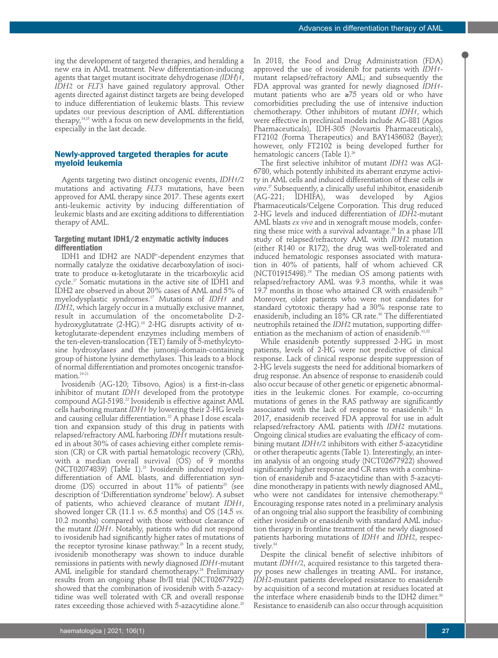ing the development of targeted therapies, and heralding a new era in AML treatment. New differentiation-inducing agents that target mutant isocitrate dehydrogenase *(IDH*)*1*, *IDH2* or *FLT3* have gained regulatory approval. Other agents directed against distinct targets are being developed to induce differentiation of leukemic blasts. This review updates our previous description of AML differentiation therapy,14,15 with a focus on new developments in the field, especially in the last decade.

## **Newly-approved targeted therapies for acute myeloid leukemia**

Agents targeting two distinct oncogenic events, *IDH1/2* mutations and activating *FLT3* mutations, have been approved for AML therapy since 2017. These agents exert anti-leukemic activity by inducing differentiation of leukemic blasts and are exciting additions to differentiation therapy of AML.

#### **Targeting mutant IDH1/2 enzymatic activity induces differentiation**

IDH1 and IDH2 are NADP+ -dependent enzymes that normally catalyze the oxidative decarboxylation of isocitrate to produce α-ketoglutarate in the tricarboxylic acid cycle.17 Somatic mutations in the active site of IDH1 and IDH2 are observed in about 20% cases of AML and 5% of myelodysplastic syndromes.17 Mutations of *IDH1* and *IDH2*, which largely occur in a mutually exclusive manner, result in accumulation of the oncometabolite D-2 hydroxy glutatrate (2-HG).<sup>18</sup> 2-HG disrupts activity of  $\alpha$ ketoglutarate-dependent enzymes including members of the ten-eleven-translocation (TET) family of 5-methylcytosine hydroxylases and the jumonji-domain-containing group of histone lysine demethylases. This leads to a block of normal differentiation and promotes oncogenic transformation.19-21

Ivosidenib (AG-120; Tibsovo, Agios) is a first-in-class inhibitor of mutant *IDH1* developed from the prototype compound AGI-5198.22 Ivosidenib is effective against AML cells harboring mutant *IDH1* by lowering their 2-HG levels and causing cellular differentiation.<sup>22</sup> A phase I dose escalation and expansion study of this drug in patients with relapsed/refractory AML harboring *IDH1* mutations resulted in about 30% of cases achieving either complete remission (CR) or CR with partial hematologic recovery (CRh), with a median overall survival (OS) of 9 months (NCT02074839) (Table 1).<sup>23</sup> Ivosidenib induced myeloid differentiation of AML blasts, and differentiation syndrome (DS) occurred in about  $11\%$  of patients<sup>23</sup> (see description of 'Differentiation syndrome' below). A subset of patients, who achieved clearance of mutant *IDH1*, showed longer CR (11.1 *vs*. 6.5 months) and OS (14.5 *vs*. 10.2 months) compared with those without clearance of the mutant *IDH1*. Notably, patients who did not respond to ivosidenib had significantly higher rates of mutations of the receptor tyrosine kinase pathway.<sup>23</sup> In a recent study, ivosidenib monotherapy was shown to induce durable remissions in patients with newly diagnosed *IDH1*-mutant AML ineligible for standard chemotherapy.<sup>24</sup> Preliminary results from an ongoing phase Ib/II trial (NCT02677922) showed that the combination of ivosidenib with 5-azacytidine was well tolerated with CR and overall response rates exceeding those achieved with 5-azacytidine alone.<sup>25</sup>

In 2018, the Food and Drug Administration (FDA) approved the use of ivosidenib for patients with *IDH1* mutant relapsed/refractory AML; and subsequently the FDA approval was granted for newly diagnosed *IDH1* mutant patients who are ≥75 years old or who have comorbidities precluding the use of intensive induction chemotherapy. Other inhibitors of mutant *IDH1*, which were effective in preclinical models include AG-881 (Agios Pharmaceuticals), IDH-305 (Novartis Pharmaceuticals), FT2102 (Forma Therapeutics) and BAY1436032 (Bayer); however, only FT2102 is being developed further for hematologic cancers (Table 1).<sup>26</sup>

The first selective inhibitor of mutant *IDH2* was AGI-6780, which potently inhibited its aberrant enzyme activity in AML cells and induced differentiation of these cells *in vitro*. <sup>27</sup> Subsequently, a clinically useful inhibitor, enasidenib (AG-221; IDHIFA), was developed by Agios Pharmaceuticals/Celgene Corporation. This drug reduced 2-HG levels and induced differentiation of *IDH2*-mutant AML blasts *ex vivo* and in xenograft mouse models, conferring these mice with a survival advantage.<sup>28</sup> In a phase I/II study of relapsed/refractory AML with *IDH2* mutation (either R140 or R172), the drug was well-tolerated and induced hematologic responses associated with maturation in 40% of patients, half of whom achieved CR (NCT01915498).<sup>29</sup> The median OS among patients with relapsed/refractory AML was 9.3 months, while it was 19.7 months in those who attained CR with enasidenib.<sup>29</sup> Moreover, older patients who were not candidates for standard cytotoxic therapy had a 30% response rate to enasidenib, including an 18% CR rate.<sup>30</sup> The differentiated neutrophils retained the *IDH2* mutation, supporting differentiation as the mechanism of action of enasidenib.<sup>31,32</sup>

While enasidenib potently suppressed 2-HG in most patients, levels of 2-HG were not predictive of clinical response. Lack of clinical response despite suppression of 2-HG levels suggests the need for additional biomarkers of drug response. An absence of response to enasidenib could also occur because of other genetic or epigenetic abnormalities in the leukemic clones. For example, co-occurring mutations of genes in the RAS pathway are significantly associated with the lack of response to enasidenib.<sup>32</sup> In 2017, enasidenib received FDA approval for use in adult relapsed/refractory AML patients with *IDH2* mutations. Ongoing clinical studies are evaluating the efficacy of combining mutant *IDH1/2* inhibitors with either 5-azacytidine or other therapeutic agents (Table 1). Interestingly, an interim analysis of an ongoing study (NCT02677922) showed significantly higher response and CR rates with a combination of enasidenib and 5-azacytidine than with 5-azacytidine monotherapy in patients with newly diagnosed AML, who were not candidates for intensive chemotherapy.<sup>33</sup> Encouraging response rates noted in a preliminary analysis of an ongoing trial also support the feasibility of combining either ivosidenib or enasidenib with standard AML induction therapy in frontline treatment of the newly diagnosed patients harboring mutations of *IDH1* and *IDH2*, respectively.<sup>34</sup>

Despite the clinical benefit of selective inhibitors of mutant *IDH1/2*, acquired resistance to this targeted therapy poses new challenges in treating AML. For instance, *IDH2*-mutant patients developed resistance to enasidenib by acquisition of a second mutation at residues located at the interface where enasidenib binds to the IDH2 dimer.<sup>35</sup> Resistance to enasidenib can also occur through acquisition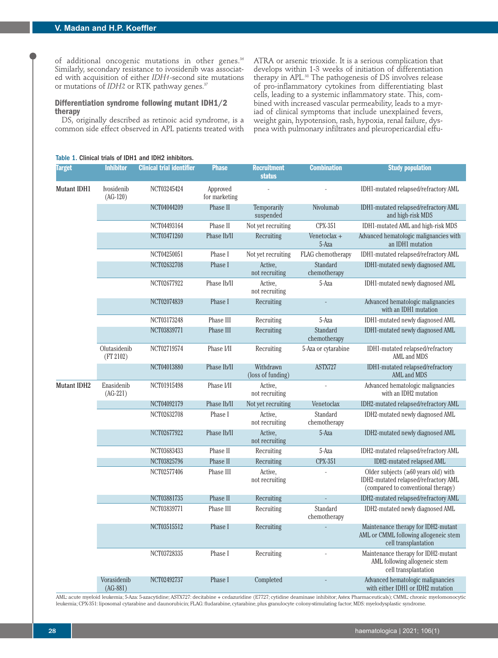of additional oncogenic mutations in other genes.<sup>36</sup> Similarly, secondary resistance to ivosidenib was associated with acquisition of either *IDH1*-second site mutations or mutations of *IDH2* or RTK pathway genes.<sup>37</sup>

#### **Differentiation syndrome following mutant IDH1/2 therapy**

DS, originally described as retinoic acid syndrome, is a common side effect observed in APL patients treated with

Table 1. Clinical trials of IDH1 and IDH2 inhibitors.

ATRA or arsenic trioxide. It is a serious complication that develops within 1-3 weeks of initiation of differentiation therapy in APL.38 The pathogenesis of DS involves release of pro-inflammatory cytokines from differentiating blast cells, leading to a systemic inflammatory state. This, combined with increased vascular permeability, leads to a myriad of clinical symptoms that include unexplained fevers, weight gain, hypotension, rash, hypoxia, renal failure, dyspnea with pulmonary infiltrates and pleuropericardial effu-

| <b>Target</b> | <b>Inhibitor</b>          | <b>Clinical trial identifier</b> | <b>Phase</b>              | <b>Recruitment</b><br><b>status</b> | <b>Combination</b>       | <b>Study population</b>                                                                                                  |
|---------------|---------------------------|----------------------------------|---------------------------|-------------------------------------|--------------------------|--------------------------------------------------------------------------------------------------------------------------|
| Mutant IDH1   | Ivosidenib<br>$(AG-120)$  | NCT03245424                      | Approved<br>for marketing |                                     |                          | IDH1-mutated relapsed/refractory AML                                                                                     |
|               |                           | NCT04044209                      | Phase II                  | Temporarily<br>suspended            | Nivolumab                | IDH1-mutated relapsed/refractory AML<br>and high-risk MDS                                                                |
|               |                           | NCT04493164                      | Phase II                  | Not yet recruiting                  | CPX-351                  | IDH1-mutated AML and high-risk MDS                                                                                       |
|               |                           | NCT03471260                      | Phase Ib/II               | Recruiting                          | Venetoclax +<br>5-Aza    | Advanced hematologic malignancies with<br>an IDH1 mutation                                                               |
|               |                           | NCT04250051                      | Phase I                   | Not yet recruiting                  | FLAG chemotherapy        | IDH1-mutated relapsed/refractory AML                                                                                     |
|               |                           | NCT02632708                      | Phase I                   | Active.<br>not recruiting           | Standard<br>chemotherapy | IDH1-mutated newly diagnosed AML                                                                                         |
|               |                           | NCT02677922                      | Phase Ib/II               | Active,<br>not recruiting           | 5-Aza                    | IDH1-mutated newly diagnosed AML                                                                                         |
|               |                           | NCT02074839                      | Phase I                   | Recruiting                          |                          | Advanced hematologic malignancies<br>with an IDH1 mutation                                                               |
|               |                           | NCT03173248                      | Phase III                 | Recruiting                          | 5-Aza                    | IDH1-mutated newly diagnosed AML                                                                                         |
|               |                           | NCT03839771                      | Phase III                 | Recruiting                          | Standard<br>chemotherapy | IDH1-mutated newly diagnosed AML                                                                                         |
|               | Olutasidenib<br>(FT 2102) | NCT02719574                      | Phase I/II                | Recruiting                          | 5-Aza or cytarabine      | IDH1-mutated relapsed/refractory<br><b>AML and MDS</b>                                                                   |
|               |                           | NCT04013880                      | Phase Ib/II               | Withdrawn<br>(loss of funding)      | ASTX727                  | IDH1-mutated relapsed/refractory<br>AML and MDS                                                                          |
| Mutant IDH2   | Enasidenib<br>$(AG-221)$  | NCT01915498                      | Phase I/II                | Active,<br>not recruiting           |                          | Advanced hematologic malignancies<br>with an IDH2 mutation                                                               |
|               |                           | NCT04092179                      | Phase Ib/II               | Not yet recruiting                  | Venetoclax               | IDH2-mutated relapsed/refractory AML                                                                                     |
|               |                           | NCT02632708                      | Phase I                   | Active,<br>not recruiting           | Standard<br>chemotherapy | IDH2-mutated newly diagnosed AML                                                                                         |
|               |                           | NCT02677922                      | Phase Ib/II               | Active,<br>not recruiting           | 5-Aza                    | IDH2-mutated newly diagnosed AML                                                                                         |
|               |                           | NCT03683433                      | Phase II                  | Recruiting                          | 5-Aza                    | IDH2-mutated relapsed/refractory AML                                                                                     |
|               |                           | NCT03825796                      | Phase II                  | Recruiting                          | <b>CPX-351</b>           | IDH2-mutated relapsed AML                                                                                                |
|               |                           | NCT02577406                      | Phase III                 | Active,<br>not recruiting           |                          | Older subjects ( $\geq 60$ years old) with<br>IDH2-mutated relapsed/refractory AML<br>(compared to conventional therapy) |
|               |                           | NCT03881735                      | Phase II                  | Recruiting                          |                          | IDH2-mutated relapsed/refractory AML                                                                                     |
|               |                           | NCT03839771                      | Phase III                 | Recruiting                          | Standard<br>chemotherapy | IDH2-mutated newly diagnosed AML                                                                                         |
|               |                           | NCT03515512                      | Phase I                   | Recruiting                          |                          | Maintenance therapy for IDH2-mutant<br>AML or CMML following allogeneic stem<br>cell transplantation                     |
|               |                           | NCT03728335                      | Phase I                   | Recruiting                          |                          | Maintenance therapy for IDH2-mutant<br>AML following allogeneic stem<br>cell transplantation                             |
|               | Vorasidenib<br>$(AG-881)$ | NCT02492737                      | Phase I                   | Completed                           |                          | Advanced hematologic malignancies<br>with either IDH1 or IDH2 mutation                                                   |

AML: acute myeloid leukemia; 5-Aza: 5-azacytidine; ASTX727: decitabine + cedazuridine (E7727; cytidine deaminase inhibitor; Astex Pharmaceuticals); CMML: chronic myelomonocytic leukemia; CPX-351: liposomal cytarabine and daunorubicin; FLAG: fludarabine, cytarabine, plus granulocyte colony-stimulating factor; MDS: myelodysplastic syndrome.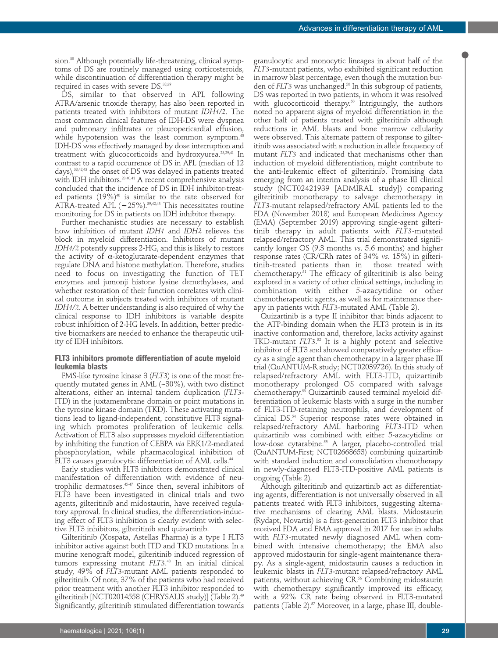sion.38 Although potentially life-threatening, clinical symptoms of DS are routinely managed using corticosteroids, while discontinuation of differentiation therapy might be required in cases with severe DS.<sup>38,39</sup>

DS, similar to that observed in APL following ATRA/arsenic trioxide therapy, has also been reported in patients treated with inhibitors of mutant *IDH1/2*. The most common clinical features of IDH-DS were dyspnea and pulmonary infiltrates or pleuropericardial effusion, while hypotension was the least common symptom.<sup>40</sup> IDH-DS was effectively managed by dose interruption and treatment with glucocorticoids and hydroxyurea.23,29,41 In contrast to a rapid occurrence of DS in APL (median of 12 days),<sup>38,42,43</sup> the onset of DS was delayed in patients treated with IDH inhibitors.23,40,41 A recent comprehensive analysis concluded that the incidence of DS in IDH inhibitor-treated patients (19%)<sup>40</sup> is similar to the rate observed for ATRA-treated APL (**∼**25%).39,42,43 This necessitates routine monitoring for DS in patients on IDH inhibitor therapy.

Further mechanistic studies are necessary to establish how inhibition of mutant *IDH1* and *IDH2* relieves the block in myeloid differentiation. Inhibitors of mutant *IDH1/2* potently suppress 2-HG, and this is likely to restore the activity of  $α$ -ketoglutarate-dependent enzymes that regulate DNA and histone methylation. Therefore, studies need to focus on investigating the function of TET enzymes and jumonji histone lysine demethylases, and whether restoration of their function correlates with clinical outcome in subjects treated with inhibitors of mutant *IDH1/2*. A better understanding is also required of why the clinical response to IDH inhibitors is variable despite robust inhibition of 2-HG levels. In addition, better predictive biomarkers are needed to enhance the therapeutic utility of IDH inhibitors.

#### **FLT3 inhibitors promote differentiation of acute myeloid leukemia blasts**

FMS-like tyrosine kinase 3 (*FLT3*) is one of the most frequently mutated genes in AML (~30%), with two distinct alterations, either an internal tandem duplication (*FLT3*- ITD) in the juxtamembrane domain or point mutations in the tyrosine kinase domain (TKD). These activating mutations lead to ligand-independent, constitutive FLT3 signaling which promotes proliferation of leukemic cells. Activation of FLT3 also suppresses myeloid differentiation by inhibiting the function of CEBPA *via* ERK1/2-mediated phosphorylation, while pharmacological inhibition of FLT3 causes granulocytic differentiation of AML cells.<sup>44</sup>

Early studies with FLT3 inhibitors demonstrated clinical manifestation of differentiation with evidence of neutrophilic dermatoses.45-47 Since then, several inhibitors of FLT3 have been investigated in clinical trials and two agents, gilteritinib and midostaurin, have received regulatory approval. In clinical studies, the differentiation-inducing effect of FLT3 inhibition is clearly evident with selective FLT3 inhibitors, gilteritinib and quizartinib.

Gilteritinib (Xospata, Astellas Pharma) is a type I FLT3 inhibitor active against both ITD and TKD mutations. In a murine xenograft model, gilteritinib induced regression of tumors expressing mutant *FLT3*. <sup>48</sup> In an initial clinical study, 49% of *FLT3*-mutant AML patients responded to gilteritinib. Of note, 37% of the patients who had received prior treatment with another FLT3 inhibitor responded to gilteritinib [NCT02014558 (CHRYSALIS study)] (Table 2).<sup>49</sup> Significantly, gilteritinib stimulated differentiation towards

granulocytic and monocytic lineages in about half of the *FLT3-*mutant patients, who exhibited significant reduction in marrow blast percentage, even though the mutation burden of *FLT3* was unchanged.<sup>50</sup> In this subgroup of patients, DS was reported in two patients, in whom it was resolved with glucocorticoid therapy.<sup>50</sup> Intriguingly, the authors noted no apparent signs of myeloid differentiation in the other half of patients treated with gilteritinib although reductions in AML blasts and bone marrow cellularity were observed. This alternate pattern of response to gilteritinib was associated with a reduction in allele frequency of mutant *FLT3* and indicated that mechanisms other than induction of myeloid differentiation, might contribute to the anti-leukemic effect of gilteritinib. Promising data emerging from an interim analysis of a phase III clinical study (NCT02421939 [ADMIRAL study]) comparing gilteritinib monotherapy to salvage chemotherapy in *FLT3*-mutant relapsed/refractory AML patients led to the FDA (November 2018) and European Medicines Agency (EMA) (September 2019) approving single-agent gilteritinib therapy in adult patients with *FLT3*-mutated relapsed/refractory AML. This trial demonstrated significantly longer OS (9.3 months *vs*. 5.6 months) and higher response rates (CR/CRh rates of 34% *vs*. 15%) in gilteritinib-treated patients than in those treated with chemotherapy. $51$  The efficacy of gilteritinib is also being explored in a variety of other clinical settings, including in combination with either 5-azacytidine or other chemotherapeutic agents, as well as for maintenance therapy in patients with *FLT3*-mutated AML (Table 2).

Quizartinib is a type II inhibitor that binds adjacent to the ATP-binding domain when the FLT3 protein is in its inactive conformation and, therefore, lacks activity against TKD-mutant *FLT3*. <sup>52</sup> It is a highly potent and selective inhibitor of FLT3 and showed comparatively greater efficacy as a single agent than chemotherapy in a larger phase III trial (QuANTUM-R study; NCT02039726). In this study of relapsed/refractory AML with FLT3-ITD, quizartinib monotherapy prolonged OS compared with salvage chemotherapy.53 Quizartinib caused terminal myeloid differentiation of leukemic blasts with a surge in the number of FLT3-ITD-retaining neutrophils, and development of clinical DS.54 Superior response rates were obtained in relapsed/refractory AML harboring *FLT3*-ITD when quizartinib was combined with either 5-azacytidine or low-dose cytarabine.<sup>55</sup> A larger, placebo-controlled trial (QuANTUM-First; NCT02668653) combining quizartinib with standard induction and consolidation chemotherapy in newly-diagnosed FLT3-ITD-positive AML patients is ongoing (Table 2).

Although gilteritinib and quizartinib act as differentiating agents, differentiation is not universally observed in all patients treated with FLT3 inhibitors, suggesting alternative mechanisms of clearing AML blasts. Midostaurin (Rydapt, Novartis) is a first-generation FLT3 inhibitor that received FDA and EMA approval in 2017 for use in adults with *FLT3-*mutated newly diagnosed AML when combined with intensive chemotherapy; the EMA also approved midostaurin for single-agent maintenance therapy. As a single-agent, midostaurin causes a reduction in leukemic blasts in *FLT3*-mutant relapsed/refractory AML patients, without achieving CR.<sup>56</sup> Combining midostaurin with chemotherapy significantly improved its efficacy, with a 92% CR rate being observed in FLT3-mutated patients (Table 2).<sup>57</sup> Moreover, in a large, phase III, double-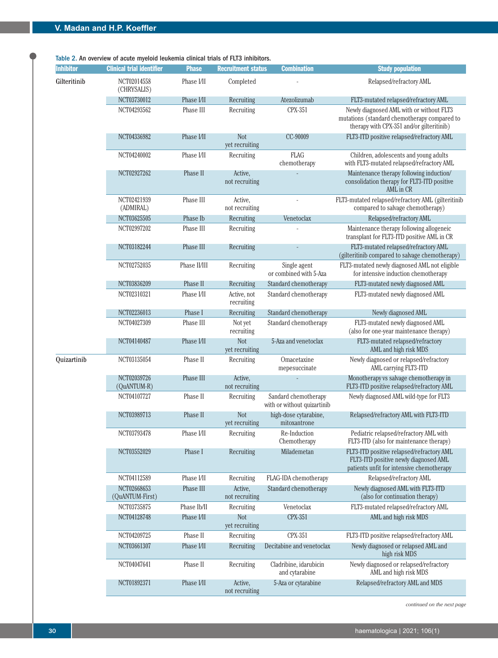Table 2. An overview of acute myeloid leukemia clinical trials of FLT3 inhibitors.

| <b>Inhibitor</b> | <b>Clinical trial identifier</b> | <b>Phase</b> | <b>Recruitment status</b>    | <b>Combination</b>                                  | <b>Study population</b>                                                                                                               |
|------------------|----------------------------------|--------------|------------------------------|-----------------------------------------------------|---------------------------------------------------------------------------------------------------------------------------------------|
| Gilteritinib     | NCT02014558<br>(CHRYSALIS)       | Phase I/II   | Completed                    |                                                     | Relapsed/refractory AML                                                                                                               |
|                  | NCT03730012                      | Phase I/II   | Recruiting                   | Atezolizumab                                        | FLT3-mutated relapsed/refractory AML                                                                                                  |
|                  | NCT04293562                      | Phase III    | Recruiting                   | CPX-351                                             | Newly diagnosed AML with or without FLT3<br>mutations (standard chemotherapy compared to<br>therapy with CPX-351 and/or gilteritinib) |
|                  | NCT04336982                      | Phase I/II   | <b>Not</b><br>yet recruiting | CC-90009                                            | FLT3-ITD positive relapsed/refractory AML                                                                                             |
|                  | NCT04240002                      | Phase I/II   | Recruiting                   | <b>FLAG</b><br>chemotherapy                         | Children, adolescents and young adults<br>with FLT3-mutated relapsed/refractory AML                                                   |
|                  | NCT02927262                      | Phase II     | Active,<br>not recruiting    |                                                     | Maintenance therapy following induction/<br>consolidation therapy for FLT3-ITD positive<br>AML in CR                                  |
|                  | NCT02421939<br>(ADMIRAL)         | Phase III    | Active,<br>not recruiting    |                                                     | FLT3-mutated relapsed/refractory AML (gilteritinib<br>compared to salvage chemotherapy)                                               |
|                  | NCT03625505                      | Phase Ib     | Recruiting                   | Venetoclax                                          | Relapsed/refractory AML                                                                                                               |
|                  | NCT02997202                      | Phase III    | Recruiting                   |                                                     | Maintenance therapy following allogeneic<br>transplant for FLT3-ITD positive AML in CR                                                |
|                  | NCT03182244                      | Phase III    | Recruiting                   |                                                     | FLT3-mutated relapsed/refractory AML<br>(gilteritinib compared to salvage chemotherapy)                                               |
|                  | NCT02752035                      | Phase II/III | Recruiting                   | Single agent<br>or combined with 5-Aza              | FLT3-mutated newly diagnosed AML not eligible<br>for intensive induction chemotherapy                                                 |
|                  | NCT03836209                      | Phase II     | Recruiting                   | Standard chemotherapy                               | FLT3-mutated newly diagnosed AML                                                                                                      |
|                  | NCT02310321                      | Phase I/II   | Active, not<br>recruiting    | Standard chemotherapy                               | FLT3-mutated newly diagnosed AML                                                                                                      |
|                  | NCT02236013                      | Phase I      | Recruiting                   | Standard chemotherapy                               | Newly diagnosed AML                                                                                                                   |
|                  | NCT04027309                      | Phase III    | Not yet<br>recruiting        | Standard chemotherapy                               | FLT3-mutated newly diagnosed AML<br>(also for one-year maintenance therapy)                                                           |
|                  | NCT04140487                      | Phase I/II   | <b>Not</b><br>yet recruiting | 5-Aza and venetoclax                                | FLT3-mutated relapsed/refractory<br>AML and high risk MDS                                                                             |
| Quizartinib      | NCT03135054                      | Phase II     | Recruiting                   | Omacetaxine<br>mepesuccinate                        | Newly diagnosed or relapsed/refractory<br>AML carrying FLT3-ITD                                                                       |
|                  | NCT02039726<br>(QuANTUM-R)       | Phase III    | Active.<br>not recruiting    |                                                     | Monotherapy vs salvage chemotherapy in<br>FLT3-ITD positive relapsed/refractory AML                                                   |
|                  | NCT04107727                      | Phase II     | Recruiting                   | Sandard chemotherapy<br>with or without quizartinib | Newly diagnosed AML wild-type for FLT3                                                                                                |
|                  | NCT03989713                      | Phase II     | <b>Not</b><br>yet recruiting | high-dose cytarabine,<br>mitoxantrone               | Relapsed/refractory AML with FLT3-ITD                                                                                                 |
|                  | NCT03793478                      | Phase I/II   | Recruiting                   | Re-Induction<br>Chemotherapy                        | Pediatric relapsed/refractory AML with<br>FLT3-ITD (also for maintenance therapy)                                                     |
|                  | NCT03552029                      | Phase I      | Recruiting                   | Milademetan                                         | FLT3-ITD positive relapsed/refractory AML<br>FLT3-ITD positive newly diagnosed AML<br>patients unfit for intensive chemotherapy       |
|                  | NCT04112589                      | Phase I/II   | Recruiting                   | FLAG-IDA chemotherapy                               | Relapsed/refractory AML                                                                                                               |
|                  | NCT02668653<br>(QuANTUM-First)   | Phase III    | Active,<br>not recruiting    | Standard chemotherapy                               | Newly diagnosed AML with FLT3-ITD<br>(also for continuation therapy)                                                                  |
|                  | NCT03735875                      | Phase Ib/II  | Recruiting                   | Venetoclax                                          | FLT3-mutated relapsed/refractory AML                                                                                                  |
|                  | NCT04128748                      | Phase I/II   | <b>Not</b><br>yet recruiting | <b>CPX-351</b>                                      | AML and high risk MDS                                                                                                                 |
|                  | NCT04209725                      | Phase II     | Recruiting                   | CPX-351                                             | FLT3-ITD positive relapsed/refractory AML                                                                                             |
|                  | NCT03661307                      | Phase I/II   | Recruiting                   | Decitabine and venetoclax                           | Newly diagnosed or relapsed AML and<br>high risk MDS                                                                                  |
|                  | NCT04047641                      | Phase II     | Recruiting                   | Cladribine, idarubicin<br>and cytarabine            | Newly diagnosed or relapsed/refractory<br>AML and high risk MDS                                                                       |
|                  | NCT01892371                      | Phase I/II   | Active,<br>not recruiting    | 5-Aza or cytarabine                                 | Relapsed/refractory AML and MDS                                                                                                       |

*continued on the next page*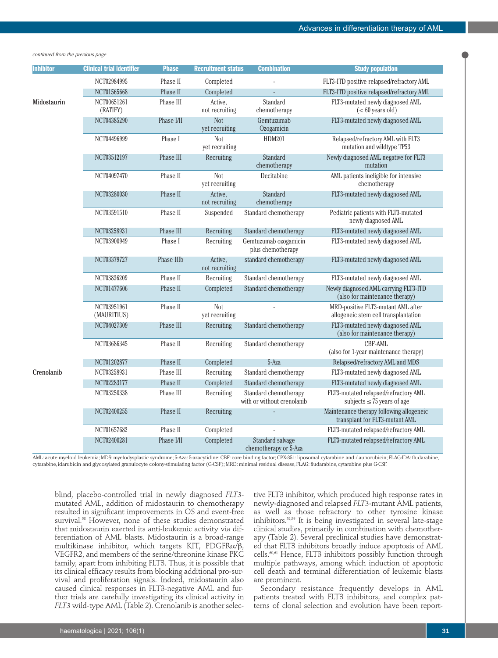| <b>Inhibitor</b> | <b>Clinical trial identifier</b> | <b>Phase</b>      | <b>Recruitment status</b>    | <b>Combination</b>                                  | <b>Study population</b>                                                    |
|------------------|----------------------------------|-------------------|------------------------------|-----------------------------------------------------|----------------------------------------------------------------------------|
|                  | NCT02984995                      | Phase II          | Completed                    |                                                     | FLT3-ITD positive relapsed/refractory AML                                  |
|                  | NCT01565668                      | Phase II          | Completed                    |                                                     | FLT3-ITD positive relapsed/refractory AML                                  |
| Midostaurin      | NCT00651261                      | Phase III         |                              | Standard                                            | FLT3-mutated newly diagnosed AML                                           |
|                  | (RATIFY)                         |                   | Active,<br>not recruiting    | chemotherapy                                        | $(< 60$ years old)                                                         |
|                  | NCT04385290                      | Phase I/II        | <b>Not</b><br>yet recruiting | Gemtuzumab<br>Ozogamicin                            | FLT3-mutated newly diagnosed AML                                           |
|                  | NCT04496999                      | Phase I           | <b>Not</b><br>yet recruiting | HDM201                                              | Relapsed/refractory AML with FLT3<br>mutation and wildtype TP53            |
|                  | NCT03512197                      | Phase III         | Recruiting                   | Standard<br>chemotherapy                            | Newly diagnosed AML negative for FLT3<br>mutation                          |
|                  | NCT04097470                      | Phase II          | <b>Not</b><br>yet recruiting | Decitabine                                          | AML patients ineligible for intensive<br>chemotherapy                      |
|                  | NCT03280030                      | Phase II          | Active,<br>not recruiting    | Standard<br>chemotherapy                            | FLT3-mutated newly diagnosed AML                                           |
|                  | NCT03591510                      | Phase II          | Suspended                    | Standard chemotherapy                               | Pediatric patients with FLT3-mutated<br>newly diagnosed AML                |
|                  | NCT03258931                      | Phase III         | Recruiting                   | Standard chemotherapy                               | FLT3-mutated newly diagnosed AML                                           |
|                  | NCT03900949                      | Phase I           | Recruiting                   | Gemtuzumab ozogamicin<br>plus chemotherapy          | FLT3-mutated newly diagnosed AML                                           |
|                  | NCT03379727                      | <b>Phase IIIb</b> | Active,<br>not recruiting    | standard chemotherapy                               | FLT3-mutated newly diagnosed AML                                           |
|                  | NCT03836209                      | Phase II          | Recruiting                   | Standard chemotherapy                               | FLT3-mutated newly diagnosed AML                                           |
|                  | NCT01477606                      | Phase II          | Completed                    | Standard chemotherapy                               | Newly diagnosed AML carrying FLT3-ITD<br>(also for maintenance therapy)    |
|                  | NCT03951961<br>(MAURITIUS)       | Phase II          | <b>Not</b><br>yet recruiting |                                                     | MRD-positive FLT3-mutant AML after<br>allogeneic stem cell transplantation |
|                  | NCT04027309                      | Phase III         | Recruiting                   | Standard chemotherapy                               | FLT3-mutated newly diagnosed AML<br>(also for maintenance therapy)         |
|                  | NCT03686345                      | Phase II          | Recruiting                   | Standard chemotherapy                               | <b>CBF-AML</b><br>(also for 1-year maintenance therapy)                    |
|                  | NCT01202877                      | Phase II          | Completed                    | 5-Aza                                               | Relapsed/refractory AML and MDS                                            |
| Crenolanib       | NCT03258931                      | Phase III         | Recruiting                   | Standard chemotherapy                               | FLT3-mutated newly diagnosed AML                                           |
|                  | NCT02283177                      | Phase II          | Completed                    | Standard chemotherapy                               | FLT3-mutated newly diagnosed AML                                           |
|                  | NCT03250338                      | Phase III         | Recruiting                   | Standard chemotherapy<br>with or without crenolanib | FLT3-mutated relapsed/refractory AML<br>subjects $\leq 75$ years of age    |
|                  | NCT02400255                      | Phase II          | Recruiting                   |                                                     | Maintenance therapy following allogeneic<br>transplant for FLT3-mutant AML |
|                  | NCT01657682                      | Phase II          | Completed                    |                                                     | FLT3-mutated relapsed/refractory AML                                       |
|                  | NCT02400281                      | Phase I/II        | Completed                    | Standard salvage<br>chemotherapy or 5-Aza           | FLT3-mutated relapsed/refractory AML                                       |

#### *continued from the previous page*

AML: acute myeloid leukemia; MDS: myelodysplastic syndrome; 5-Aza: 5-azacytidine; CBF: core binding factor; CPX-351: liposomal cytarabine and daunorubicin; FLAG-IDA: fludarabine, cytarabine, idarubicin and glycosylated granulocyte colony-stimulating factor (G-CSF); MRD: minimal residual disease, FLAG: fludarabine, cytarabine plus G-CSF.

blind, placebo-controlled trial in newly diagnosed *FLT3* mutated AML, addition of midostaurin to chemotherapy resulted in significant improvements in OS and event-free survival.<sup>58</sup> However, none of these studies demonstrated that midostaurin exerted its anti-leukemic activity via differentiation of AML blasts. Midostaurin is a broad-range multikinase inhibitor, which targets KIT, PDGFR $\alpha/\beta$ , VEGFR2, and members of the serine/threonine kinase PKC family, apart from inhibiting FLT3. Thus, it is possible that its clinical efficacy results from blocking additional pro-survival and proliferation signals. Indeed, midostaurin also caused clinical responses in FLT3-negative AML and further trials are carefully investigating its clinical activity in *FLT3* wild-type AML (Table 2). Crenolanib is another selec-

tive FLT3 inhibitor, which produced high response rates in newly-diagnosed and relapsed *FLT3*-mutant AML patients, as well as those refractory to other tyrosine kinase inhibitors.52,59 It is being investigated in several late-stage clinical studies, primarily in combination with chemotherapy (Table 2). Several preclinical studies have demonstrated that FLT3 inhibitors broadly induce apoptosis of AML cells.<sup>60,61</sup> Hence, FLT3 inhibitors possibly function through multiple pathways, among which induction of apoptotic cell death and terminal differentiation of leukemic blasts are prominent.

Secondary resistance frequently develops in AML patients treated with FLT3 inhibitors, and complex patterns of clonal selection and evolution have been report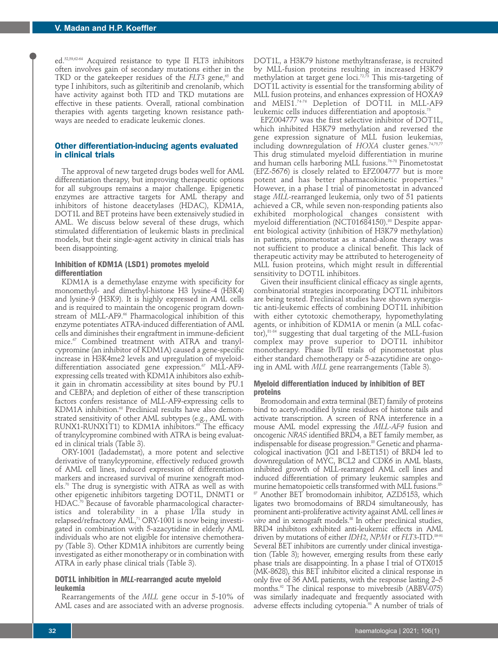ed.52,59,62-64 Acquired resistance to type II FLT3 inhibitors often involves gain of secondary mutations either in the TKD or the gatekeeper residues of the *FLT3* gene,<sup>65</sup> and type I inhibitors, such as gilteritinib and crenolanib, which have activity against both ITD and TKD mutations are effective in these patients. Overall, rational combination therapies with agents targeting known resistance pathways are needed to eradicate leukemic clones.

## **Other differentiation-inducing agents evaluated in clinical trials**

The approval of new targeted drugs bodes well for AML differentiation therapy, but improving therapeutic options for all subgroups remains a major challenge. Epigenetic enzymes are attractive targets for AML therapy and inhibitors of histone deacetylases (HDAC), KDM1A, DOT1L and BET proteins have been extensively studied in AML. We discuss below several of these drugs, which stimulated differentiation of leukemic blasts in preclinical models, but their single-agent activity in clinical trials has been disappointing.

#### **Inhibition of KDM1A (LSD1) promotes myeloid differentiation**

KDM1A is a demethylase enzyme with specificity for monomethyl- and dimethyl-histone H3 lysine-4 (H3K4) and lysine-9 (H3K9). It is highly expressed in AML cells and is required to maintain the oncogenic program downstream of MLL-AF9.<sup>66</sup> Pharmacological inhibition of this enzyme potentiates ATRA-induced differentiation of AML cells and diminishes their engraftment in immune-deficient mice. $\sigma$  Combined treatment with ATRA and tranylcypromine (an inhibitor of KDM1A) caused a gene-specific increase in H3K4me2 levels and upregulation of myeloiddifferentiation associated gene expression.<sup>67</sup> MLL-AF9expressing cells treated with KDM1A inhibitors also exhibit gain in chromatin accessibility at sites bound by PU.1 and CEBPA; and depletion of either of these transcription factors confers resistance of MLL-AF9-expressing cells to KDM1A inhibition.<sup>68</sup> Preclinical results have also demonstrated sensitivity of other AML subtypes (e.g., AML with RUNX1-RUNX1T1) to KDM1A inhibitors.<sup>69</sup> The efficacy of tranylcypromine combined with ATRA is being evaluated in clinical trials (Table 3).

ORY-1001 (Iadademstat), a more potent and selective derivative of tranylcypromine, effectively reduced growth of AML cell lines, induced expression of differentiation markers and increased survival of murine xenograft models.70 The drug is synergistic with ATRA as well as with other epigenetic inhibitors targeting DOT1L, DNMT1 or HDAC.<sup>70</sup> Because of favorable pharmacological characteristics and tolerability in a phase I/IIa study in relapsed/refractory AML,<sup>71</sup> ORY-1001 is now being investigated in combination with 5-azacytidine in elderly AML individuals who are not eligible for intensive chemotherapy (Table 3). Other KDM1A inhibitors are currently being investigated as either monotherapy or in combination with ATRA in early phase clinical trials (Table 3).

#### **DOT1L inhibition in** *MLL***-rearranged acute myeloid leukemia**

Rearrangements of the *MLL* gene occur in 5-10% of AML cases and are associated with an adverse prognosis.

DOT1L, a H3K79 histone methyltransferase, is recruited by MLL-fusion proteins resulting in increased H3K79 methylation at target gene loci.72,73 This mis-targeting of DOT1L activity is essential for the transforming ability of MLL fusion proteins, and enhances expression of HOXA9 and MEIS1.74-76 Depletion of DOT1L in MLL-AF9 leukemic cells induces differentiation and apoptosis.<sup>75</sup>

EPZ004777 was the first selective inhibitor of DOT1L, which inhibited H3K79 methylation and reversed the gene expression signature of MLL fusion leukemias, including downregulation of *HOXA* cluster genes.74,75,77 This drug stimulated myeloid differentiation in murine and human cells harboring MLL fusions.<sup>76-78</sup> Pinometostat (EPZ-5676) is closely related to EPZ004777 but is more potent and has better pharmacokinetic properties.<sup>79</sup> However, in a phase I trial of pinometostat in advanced stage *MLL*-rearranged leukemia, only two of 51 patients achieved a CR, while seven non-responding patients also exhibited morphological changes consistent with myeloid differentiation (NCT01684150).<sup>80</sup> Despite apparent biological activity (inhibition of H3K79 methylation) in patients, pinometostat as a stand-alone therapy was not sufficient to produce a clinical benefit. This lack of therapeutic activity may be attributed to heterogeneity of MLL fusion proteins, which might result in differential sensitivity to DOT1L inhibitors.

Given their insufficient clinical efficacy as single agents, combinatorial strategies incorporating DOT1L inhibitors are being tested. Preclinical studies have shown synergistic anti-leukemic effects of combining DOT1L inhibition with either cytotoxic chemotherapy, hypomethylating agents, or inhibition of KDM1A or menin (a MLL cofactor), $81-84$  suggesting that dual targeting of the MLL-fusion complex may prove superior to DOT1L inhibitor monotherapy. Phase Ib/II trials of pinometostat plus either standard chemotherapy or 5-azacytidine are ongoing in AML with *MLL* gene rearrangements (Table 3).

#### **Myeloid differentiation induced by inhibition of BET proteins**

Bromodomain and extra terminal (BET) family of proteins bind to acetyl-modified lysine residues of histone tails and activate transcription. A screen of RNA interference in a mouse AML model expressing the *MLL-AF9* fusion and oncogenic *NRAS* identified BRD4, a BET family member, as indispensable for disease progression.<sup>85</sup> Genetic and pharmacological inactivation (JQ1 and I-BET151) of BRD4 led to downregulation of MYC, BCL2 and CDK6 in AML blasts, inhibited growth of MLL-rearranged AML cell lines and induced differentiation of primary leukemic samples and murine hematopoietic cells transformed with MLL fusions.<sup>85-</sup> <sup>87</sup> Another BET bromodomain inhibitor, AZD5153, which ligates two bromodomains of BRD4 simultaneously, has prominent anti-proliferative activity against AML cell lines *in vitro* and in xenograft models.88 In other preclinical studies, BRD4 inhibitors exhibited anti-leukemic effects in AML driven by mutations of either *IDH2*, *NPM1* or *FLT3*-ITD.89-91 Several BET inhibitors are currently under clinical investigation (Table 3); however, emerging results from these early phase trials are disappointing. In a phase I trial of OTX015 (MK-8628), this BET inhibitor elicited a clinical response in only five of 36 AML patients, with the response lasting 2–5 months.<sup>92</sup> The clinical response to mivebresib (ABBV-075) was similarly inadequate and frequently associated with adverse effects including cytopenia.<sup>93</sup> A number of trials of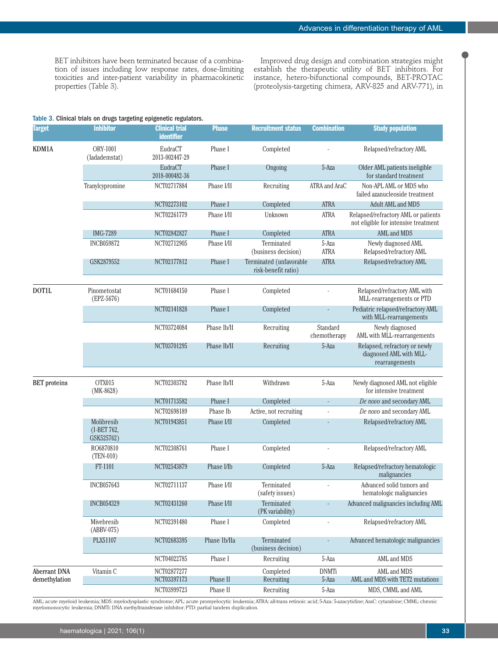BET inhibitors have been terminated because of a combination of issues including low response rates, dose-limiting toxicities and inter-patient variability in pharmacokinetic properties (Table 3).

Improved drug design and combination strategies might establish the therapeutic utility of BET inhibitors. For instance, hetero-bifunctional compounds, BET-PROTAC (proteolysis-targeting chimera, ARV-825 and ARV-771), in

#### Table 3. Clinical trials on drugs targeting epigenetic regulators.

| <b>Target</b>       | <b>Inhibitor</b>                        | <b>Clinical trial</b><br><b>identifier</b> | <b>Phase</b>     | <b>Recruitment status</b>                      | <b>Combination</b>       | <b>Study population</b>                                                                   |
|---------------------|-----------------------------------------|--------------------------------------------|------------------|------------------------------------------------|--------------------------|-------------------------------------------------------------------------------------------|
| KDM1A               | <b>ORY-1001</b><br>(ladademstat)        | EudraCT<br>2013-002447-29                  | Phase I          | Completed                                      |                          | Relapsed/refractory AML                                                                   |
|                     |                                         | EudraCT<br>2018-000482-36                  | Phase I          | Ongoing                                        | $5-Aza$                  | Older AML patients ineligible<br>for standard treatment                                   |
|                     | Tranylcypromine                         | NCT02717884                                | Phase I/II       | Recruiting                                     | ATRA and AraC            | Non-APL AML or MDS who<br>failed azanucleoside treatment                                  |
|                     |                                         | NCT02273102                                | Phase I          | Completed                                      | <b>ATRA</b>              | Adult AML and MDS                                                                         |
|                     |                                         | NCT02261779                                | Phase I/II       | Unknown                                        | ATRA                     | Relapsed/refractory AML or patients<br>not eligible for intensive treatment               |
|                     | <b>IMG-7289</b>                         | NCT02842827                                | Phase I          | Completed                                      | <b>ATRA</b>              | AML and MDS                                                                               |
|                     | <b>INCB059872</b>                       | NCT02712905                                | Phase I/II       | Terminated<br>(business decision)              | 5-Aza<br><b>ATRA</b>     | Newly diagnosed AML<br>Relapsed/refractory AML                                            |
|                     | GSK2879552                              | NCT02177812                                | Phase I          | Terminated (unfavorable<br>risk-benefit ratio) | <b>ATRA</b>              | Relapsed/refractory AML                                                                   |
| <b>DOT1L</b>        | Pinometostat                            | NCT01684150                                | Phase I          | Completed                                      |                          | Relapsed/refractory AML with                                                              |
|                     | $(EPZ-5676)$                            | NCT02141828                                | Phase I          | Completed                                      |                          | MLL-rearrangements or PTD<br>Pediatric relapsed/refractory AML<br>with MLL-rearrangements |
|                     |                                         | NCT03724084                                | Phase Ib/II      | Recruiting                                     | Standard<br>chemotherapy | Newly diagnosed<br>AML with MLL-rearrangements                                            |
|                     |                                         | NCT03701295                                | Phase Ib/II      | Recruiting                                     | 5-Aza                    | Relapsed, refractory or newly<br>diagnosed AML with MLL-                                  |
|                     |                                         |                                            |                  |                                                |                          | rearrangements                                                                            |
| <b>BET</b> proteins | OTX015<br>$(MK-8628)$                   | NCT02303782                                | Phase Ib/II      | Withdrawn                                      | $5-Aza$                  | Newly diagnosed AML not eligible<br>for intensive treatment                               |
|                     |                                         | NCT01713582                                | Phase I          | Completed                                      |                          | De novo and secondary AML                                                                 |
|                     |                                         | NCT02698189                                | Phase Ib         | Active, not recruiting                         |                          | De novo and secondary AML                                                                 |
|                     | Molibresib<br>(I-BET 762,<br>GSK525762) | NCT01943851                                | Phase I/II       | Completed                                      |                          | Relapsed/refractory AML                                                                   |
|                     | RO6870810<br>$(TEM-010)$                | NCT02308761                                | Phase I          | Completed                                      |                          | Relapsed/refractory AML                                                                   |
|                     | FT-1101                                 | NCT02543879                                | Phase <i>VIb</i> | Completed                                      | $5-Aza$                  | Relapsed/refractory hematologic<br>malignancies                                           |
|                     | INCB057643                              | NCT02711137                                | Phase I/II       | Terminated<br>(safety issues)                  |                          | Advanced solid tumors and<br>hematologic malignancies                                     |
|                     | <b>INCB054329</b>                       | NCT02431260                                | Phase I/II       | Terminated<br>(PK variability)                 |                          | Advanced malignancies including AML                                                       |
|                     | Mivebresib<br>(ABBV-075)                | NCT02391480                                | Phase I          | Completed                                      |                          | Relapsed/refractory AML                                                                   |
|                     | PLX51107                                | NCT02683395                                | Phase 1b/IIa     | Terminated<br>(business decision)              |                          | Advanced hematologic malignancies                                                         |
|                     |                                         | NCT04022785                                | Phase I          | Recruiting                                     | 5-Aza                    | AML and MDS                                                                               |
| <b>Aberrant DNA</b> | Vitamin C                               | NCT02877277                                |                  | Completed                                      | <b>DNMTi</b>             | AML and MDS                                                                               |
| demethylation       |                                         | NCT03397173                                | Phase II         | Recruiting                                     | 5-Aza                    | AML and MDS with TET2 mutations                                                           |
|                     |                                         | NCT03999723                                | Phase II         | Recruiting                                     | 5-Aza                    | MDS, CMML and AML                                                                         |

AML: acute myeloid leukemia; MDS: myelodysplastic syndrome; APL: acute promyelocytic leukemia; ATRA: all-trans retinoic acid; 5-Aza: 5-azacytidine; AraC: cytarabine; CMML: chronic myelomonocytic leukemia; DNMTi: DNA methyltransferase inhibitor; PTD: partial tandem duplication.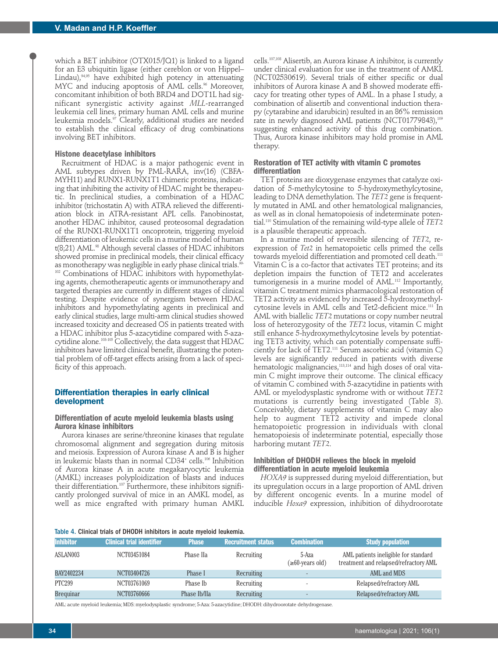which a BET inhibitor (OTX015/JQ1) is linked to a ligand for an E3 ubiquitin ligase (either cereblon or von Hippel– Lindau),<sup>94,95</sup> have exhibited high potency in attenuating MYC and inducing apoptosis of AML cells.<sup>96</sup> Moreover, concomitant inhibition of both BRD4 and DOT1L had significant synergistic activity against *MLL*-rearranged leukemia cell lines, primary human AML cells and murine leukemia models.97 Clearly, additional studies are needed to establish the clinical efficacy of drug combinations involving BET inhibitors.

## **Histone deacetylase inhibitors**

Recruitment of HDAC is a major pathogenic event in AML subtypes driven by PML-RARA, inv(16) (CBFA-MYH11) and RUNX1-RUNX1T1 chimeric proteins, indicating that inhibiting the activity of HDAC might be therapeutic. In preclinical studies, a combination of a HDAC inhibitor (trichostatin A) with ATRA relieved the differentiation block in ATRA-resistant APL cells. Panobinostat, another HDAC inhibitor, caused proteosomal degradation of the RUNX1-RUNX1T1 oncoprotein, triggering myeloid differentiation of leukemic cells in a murine model of human t(8;21) AML.<sup>98</sup> Although several classes of HDAC inhibitors showed promise in preclinical models, their clinical efficacy as monotherapy was negligible in early phase clinical trials.<sup>99-</sup> <sup>102</sup> Combinations of HDAC inhibitors with hypomethylat-

ing agents, chemotherapeutic agents or immunotherapy and targeted therapies are currently in different stages of clinical testing. Despite evidence of synergism between HDAC inhibitors and hypomethylating agents in preclinical and early clinical studies, large multi-arm clinical studies showed increased toxicity and decreased OS in patients treated with a HDAC inhibitor plus 5-azacytidine compared with 5-azacytidine alone.103-105 Collectively, the data suggest that HDAC inhibitors have limited clinical benefit, illustrating the potential problem of off-target effects arising from a lack of specificity of this approach.

#### **Differentiation therapies in early clinical development**

## **Differentiation of acute myeloid leukemia blasts using Aurora kinase inhibitors**

Aurora kinases are serine/threonine kinases that regulate chromosomal alignment and segregation during mitosis and meiosis. Expression of Aurora kinase A and B is higher in leukemic blasts than in normal CD34<sup>+</sup> cells.<sup>106</sup> Inhibition of Aurora kinase A in acute megakaryocytic leukemia (AMKL) increases polyploidization of blasts and induces their differentiation.107 Furthermore, these inhibitors significantly prolonged survival of mice in an AMKL model, as well as mice engrafted with primary human AMKL cells.107,108 Alisertib, an Aurora kinase A inhibitor, is currently under clinical evaluation for use in the treatment of AMKL (NCT02530619). Several trials of either specific or dual inhibitors of Aurora kinase A and B showed moderate efficacy for treating other types of AML. In a phase I study, a combination of alisertib and conventional induction therapy (cytarabine and idarubicin) resulted in an 86% remission rate in newly diagnosed AML patients (NCT01779843),<sup>109</sup> suggesting enhanced activity of this drug combination. Thus, Aurora kinase inhibitors may hold promise in AML therapy.

#### **Restoration of TET activity with vitamin C promotes differentiation**

TET proteins are dioxygenase enzymes that catalyze oxidation of 5-methylcytosine to 5-hydroxymethylcytosine, leading to DNA demethylation. The *TET2* gene is frequently mutated in AML and other hematological malignancies, as well as in clonal hematopoiesis of indeterminate potential.110 Stimulation of the remaining wild-type allele of *TET2* is a plausible therapeutic approach.

In a murine model of reversible silencing of *TET2*, reexpression of *Tet2* in hematopoietic cells primed the cells towards myeloid differentiation and promoted cell death.<sup>111</sup> Vitamin C is a co-factor that activates TET proteins; and its depletion impairs the function of TET2 and accelerates tumorigenesis in a murine model of AML.<sup>112</sup> Importantly, vitamin C treatment mimics pharmacological restoration of TET2 activity as evidenced by increased 5-hydroxymethylcytosine levels in AML cells and Tet2-deficient mice.<sup>111</sup> In AML with biallelic *TET2* mutations or copy number neutral loss of heterozygosity of the *TET2* locus, vitamin C might still enhance 5-hydroxymethylcytosine levels by potentiating TET3 activity, which can potentially compensate sufficiently for lack of TET2.111 Serum ascorbic acid (vitamin C) levels are significantly reduced in patients with diverse hematologic malignancies,<sup>113,114</sup> and high doses of oral vitamin C might improve their outcome. The clinical efficacy of vitamin C combined with 5-azacytidine in patients with AML or myelodysplastic syndrome with or without *TET2* mutations is currently being investigated (Table 3). Conceivably, dietary supplements of vitamin C may also help to augment TET2 activity and impede clonal hematopoietic progression in individuals with clonal hematopoiesis of indeterminate potential, especially those harboring mutant *TET2*.

## **Inhibition of DHODH relieves the block in myeloid differentiation in acute myeloid leukemia**

*HOXA9* is suppressed during myeloid differentiation, but its upregulation occurs in a large proportion of AML driven by different oncogenic events. In a murine model of inducible *Hoxa9* expression, inhibition of dihydroorotate

#### Table 4. Clinical trials of DHODH inhibitors in acute myeloid leukemia.

| <b>Inhibitor</b> | <b>Clinical trial identifier</b> | <b>Phase</b> | <b>Recruitment status</b> | <b>Combination</b>              | <b>Study population</b>                                                       |
|------------------|----------------------------------|--------------|---------------------------|---------------------------------|-------------------------------------------------------------------------------|
| ASLAN003         | NCT03451084                      | Phase IIa    | Recruiting                | 5-Aza<br>$(\geq 60$ -years old) | AML patients ineligible for standard<br>treatment and relapsed/refractory AML |
| BAY2402234       | NCT03404726                      | Phase I      | Recruiting                |                                 | AML and MDS                                                                   |
| <b>PTC299</b>    | NCT03761069                      | Phase Ib     | Recruiting                |                                 | Relapsed/refractory AML                                                       |
| <b>Brequinar</b> | NCT03760666                      | Phase Ib/IIa | Recruiting                |                                 | Relapsed/refractory AML                                                       |

AML: acute myeloid leukemia; MDS: myelodysplastic syndrome; 5-Aza: 5-azacytidine; DHODH: dihydroorotate dehydrogenase.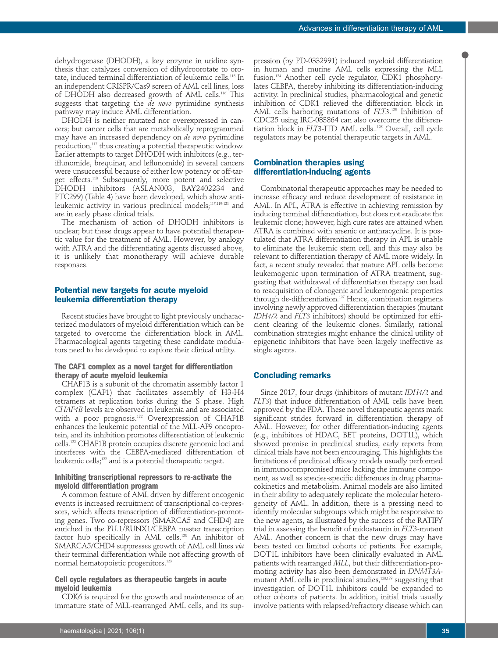dehydrogenase (DHODH), a key enzyme in uridine synthesis that catalyzes conversion of dihydroorotate to orotate, induced terminal differentiation of leukemic cells.115 In an independent CRISPR/Cas9 screen of AML cell lines, loss of DHODH also decreased growth of AML cells.116 This suggests that targeting the *de novo* pyrimidine synthesis pathway may induce AML differentiation.

DHODH is neither mutated nor overexpressed in cancers; but cancer cells that are metabolically reprogrammed may have an increased dependency on *de novo* pyrimidine production,<sup>117</sup> thus creating a potential therapeutic window. Earlier attempts to target DHODH with inhibitors (e.g., teriflunomide, brequinar, and leflunomide) in several cancers were unsuccessful because of either low potency or off-target effects.118 Subsequently, more potent and selective DHODH inhibitors (ASLAN003, BAY2402234 and PTC299) (Table 4) have been developed, which show antileukemic activity in various preclinical models;<sup>117,119-121</sup> and are in early phase clinical trials.

The mechanism of action of DHODH inhibitors is unclear; but these drugs appear to have potential therapeutic value for the treatment of AML. However, by analogy with ATRA and the differentiating agents discussed above, it is unlikely that monotherapy will achieve durable responses.

#### **Potential new targets for acute myeloid leukemia differentiation therapy**

Recent studies have brought to light previously uncharacterized modulators of myeloid differentiation which can be targeted to overcome the differentiation block in AML. Pharmacological agents targeting these candidate modulators need to be developed to explore their clinical utility.

#### **The CAF1 complex as a novel target for differentiation therapy of acute myeloid leukemia**

CHAF1B is a subunit of the chromatin assembly factor 1 complex (CAF1) that facilitates assembly of H3-H4 tetramers at replication forks during the S phase. High *CHAF1B* levels are observed in leukemia and are associated with a poor prognosis.<sup>122</sup> Overexpression of CHAF1B enhances the leukemic potential of the MLL-AF9 oncoprotein, and its inhibition promotes differentiation of leukemic cells.122 CHAF1B protein occupies discrete genomic loci and interferes with the CEBPA-mediated differentiation of leukemic cells;<sup>122</sup> and is a potential therapeutic target.

#### **Inhibiting transcriptional repressors to re-activate the myeloid differentiation program**

A common feature of AML driven by different oncogenic events is increased recruitment of transcriptional co-repressors, which affects transcription of differentiation-promoting genes. Two co-repressors (SMARCA5 and CHD4) are enriched in the PU.1/RUNX1/CEBPA master transcription factor hub specifically in AML cells.123 An inhibitor of SMARCA5/CHD4 suppresses growth of AML cell lines *via* their terminal differentiation while not affecting growth of normal hematopoietic progenitors.123

#### **Cell cycle regulators as therapeutic targets in acute myeloid leukemia**

CDK6 is required for the growth and maintenance of an immature state of MLL-rearranged AML cells, and its sup-

pression (by PD-0332991) induced myeloid differentiation in human and murine AML cells expressing the MLL fusion.124 Another cell cycle regulator, CDK1 phosphorylates CEBPA, thereby inhibiting its differentiation-inducing activity. In preclinical studies, pharmacological and genetic inhibition of CDK1 relieved the differentiation block in AML cells harboring mutations of *FLT3*. <sup>125</sup> Inhibition of CDC25 using IRC-083864 can also overcome the differentiation block in *FLT3*-ITD AML cells..126 Overall, cell cycle regulators may be potential therapeutic targets in AML.

#### **Combination therapies using differentiation-inducing agents**

Combinatorial therapeutic approaches may be needed to increase efficacy and reduce development of resistance in AML. In APL, ATRA is effective in achieving remission by inducing terminal differentiation, but does not eradicate the leukemic clone; however, high cure rates are attained when ATRA is combined with arsenic or anthracycline. It is postulated that ATRA differentiation therapy in APL is unable to eliminate the leukemic stem cell, and this may also be relevant to differentiation therapy of AML more widely. In fact, a recent study revealed that mature APL cells become leukemogenic upon termination of ATRA treatment, suggesting that withdrawal of differentiation therapy can lead to reacquisition of clonogenic and leukemogenic properties through de-differentiation.<sup>127</sup> Hence, combination regimens involving newly approved differentiation therapies (mutant *IDH1/2* and *FLT3* inhibitors) should be optimized for efficient clearing of the leukemic clones. Similarly, rational combination strategies might enhance the clinical utility of epigenetic inhibitors that have been largely ineffective as single agents.

#### **Concluding remarks**

Since 2017, four drugs (inhibitors of mutant *IDH1/2* and *FLT3*) that induce differentiation of AML cells have been approved by the FDA. These novel therapeutic agents mark significant strides forward in differentiation therapy of AML. However, for other differentiation-inducing agents (e.g., inhibitors of HDAC, BET proteins, DOT1L), which showed promise in preclinical studies, early reports from clinical trials have not been encouraging. This highlights the limitations of preclinical efficacy models usually performed in immunocompromised mice lacking the immune component, as well as species-specific differences in drug pharmacokinetics and metabolism. Animal models are also limited in their ability to adequately replicate the molecular heterogeneity of AML. In addition, there is a pressing need to identify molecular subgroups which might be responsive to the new agents, as illustrated by the success of the RATIFY trial in assessing the benefit of midostaurin in *FLT3*-mutant AML. Another concern is that the new drugs may have been tested on limited cohorts of patients. For example, DOT1L inhibitors have been clinically evaluated in AML patients with rearranged *MLL*, but their differentiation-promoting activity has also been demonstrated in *DNMT3A*mutant AML cells in preclinical studies,<sup>128,129</sup> suggesting that investigation of DOT1L inhibitors could be expanded to other cohorts of patients. In addition, initial trials usually involve patients with relapsed/refractory disease which can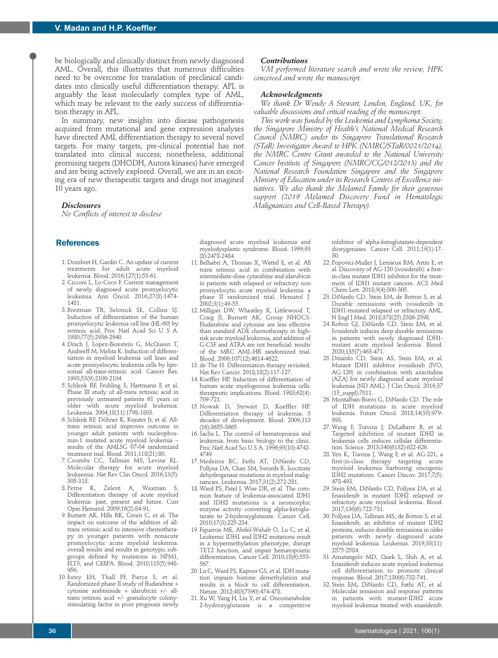be biologically and clinically distinct from newly diagnosed AML. Overall, this illustrates that numerous difficulties need to be overcome for translation of preclinical candidates into clinically useful differentiation therapy. APL is arguably the least molecularly complex type of AML, which may be relevant to the early success of differentiation therapy in APL.

In summary, new insights into disease pathogenesis acquired from mutational and gene expression analyses have directed AML differentiation therapy to several novel targets. For many targets, pre-clinical potential has not translated into clinical success; nonetheless, additional promising targets (DHODH, Aurora kinases) have emerged and are being actively explored. Overall, we are in an exciting era of new therapeutic targets and drugs not imagined 10 years ago.

#### *Disclosures*

*No Conflicts of interest to disclose* 

#### **References**

- 1. Dombret H, Gardin C. An update of current treatments for adult acute myeloid leukemia. Blood. 2016;127(1):53-61.
- 2. Cicconi L, Lo-Coco F. Current management of newly diagnosed acute promyelocytic leukemia. Ann Oncol. 2016;27(8):1474- 1481.
- 3. Breitman TR, Selonick SE, Collins SJ. Induction of differentiation of the human promyelocytic leukemia cell line (HL-60) by retinoic acid. Proc Natl Acad Sci U S A. 1980;77(5):2936-2940.
- 4. Drach J, Lopez-Berestein G, McQueen T, Andreeff M, Mehta K. Induction of differentiation in myeloid leukemia cell lines and acute promyelocytic leukemia cells by liposomal all-trans-retinoic acid. Cancer Res. 1993;53(9):2100-2104.
- 5. Schlenk RF, Frohling S, Hartmann F, et al. Phase III study of all-trans retinoic acid in previously untreated patients 61 years or older with acute myeloid leukemia. Leukemia. 2004;18(11):1798-1803.
- 6. Schlenk RF, Döhner K, Krauter Jr, et al. Alltrans retinoic acid improves outcome in younger adult patients with nucleophosmin-1 mutated acute myeloid leukemia – results of the AMLSG 07-04 randomized treatment trial. Blood. 2011;118(21):80.
- 7. Coombs CC, Tallman MS, Levine RL. Molecular therapy for acute myeloid leukaemia. Nat Rev Clin Oncol. 2016;13(5): 305-318.
- 8. Petrie K, Zelent A, Waxman S. Differentiation therapy of acute myeloid leukemia: past, present and future. Curr Opin Hematol. 2009;16(2):84-91.
- 9. Burnett AK, Hills RK, Green C, et al. The impact on outcome of the addition of alltrans retinoic acid to intensive chemotherapy in younger patients with nonacute promyelocytic acute myeloid leukemia: overall results and results in genotypic subgroups defined by mutations in NPM1, FLT3, and CEBPA. Blood. 2010;115(5):948- 956.
- 10. Estey EH, Thall PF, Pierce S, et al. Randomized phase II study of fludarabine + cytosine arabinoside + idarubicin +/- alltrans retinoic acid +/- granulocyte colonystimulating factor in poor prognosis newly

#### *Contributions*

*VM performed literature search and wrote the review, HPK conceived and wrote the manuscript.*

#### *Acknowledgments*

*We thank Dr Wendy A Stewart, London, England, UK, for valuable discussions and critical reading of the manuscript.* 

*This work was funded by the Leukemia and Lymphoma Society, the Singapore Ministry of Health's National Medical Research Council (NMRC) under its Singapore Translational Research (STaR) Investigator Award to HPK (NMRC/STaR/0021/2014), the NMRC Centre Grant awarded to the National University Cancer Institute of Singapore (NMRC/CG/012/2013) and the National Research Foundation Singapore and the Singapore Ministry of Education under its Research Centres of Excellence initiatives. We also thank the Melamed Family for their generous support (2019 Melamed Discovery Fund in Hematologic Malignancies and Cell-Based Therapy).*

diagnosed acute myeloid leukemia and myelodysplastic syndrome. Blood. 1999;93 (8):2478-2484.

- 11. Belhabri A, Thomas X, Wattel E, et al. All trans retinoic acid in combination with intermediate-dose cytarabine and idarubicin in patients with relapsed or refractory non promyelocytic acute myeloid leukemia: a phase II randomized trial. Hematol J. 2002;3(1):49-55.
- 12. Milligan DW, Wheatley K, Littlewood T, Craig JI, Burnett AK, Group NHOCS. Fludarabine and cytosine are less effective than standard ADE chemotherapy in highrisk acute myeloid leukemia, and addition of G-CSF and ATRA are not beneficial: results of the MRC AML-HR randomized trial. Blood. 2006;107(12):4614-4622.
- 13. de The H. Differentiation therapy revisited. Nat Rev Cancer. 2018;18(2):117-127.
- 14. Koeffler HP. Induction of differentiation of human acute myelogenous leukemia cells: therapeutic implications. Blood. 1983;62(4): 709-721.
- 15. Nowak D, Stewart D, Koeffler HP. Differentiation therapy of leukemia: 3 decades of development. Blood. 2009;113 (16):3655-3665.
- 16. Sachs L. The control of hematopoiesis and leukemia: from basic biology to the clinic. Proc Natl Acad Sci U S A. 1996;93(10):4742-4749.
- 17. Medeiros BC, Fathi AT, DiNardo CD, Pollyea DA, Chan SM, Swords R. Isocitrate dehydrogenase mutations in myeloid malignancies. Leukemia. 2017;31(2):272-281.
- 18. Ward PS, Patel J, Wise DR, et al. The common feature of leukemia-associated IDH1 and IDH2 mutations is a neomorphic enzyme activity converting alpha-ketoglutarate to 2-hydroxyglutarate. Cancer Cell. 2010;17(3):225-234.
- 19. Figueroa ME, Abdel-Wahab O, Lu C, et al. Leukemic IDH1 and IDH2 mutations result in a hypermethylation phenotype, disrupt TET2 function, and impair hematopoietic differentiation. Cancer Cell. 2010;18(6):553-567.
- 20. Lu C, Ward PS, Kapoor GS, et al. IDH mutation impairs histone demethylation and results in a block to cell differentiation. Nature. 2012;483(7390):474-478.
- 21. Xu W, Yang H, Liu Y, et al. Oncometabolite 2-hydroxyglutarate is a competitive

inhibitor of alpha-ketoglutarate-dependent dioxygenases. Cancer Cell. 2011;19(1):17- 30.

- 22. Popovici-Muller J, Lemieux RM, Artin E, et al. Discovery of AG-120 (ivosidenib): a firstin-class mutant IDH1 inhibitor for the treatment of IDH1 mutant cancers. ACS Med Chem Lett. 2018;9(4):300-305.
- 23. DiNardo CD, Stein EM, de Botton S, et al. Durable remissions with ivosidenib in IDH1-mutated relapsed or refractory AML. N Engl J Med. 2018;378(25):2386-2398.
- 24. Roboz GJ, DiNardo CD, Stein EM, et al. Ivosidenib induces deep durable remissions in patients with newly diagnosed IDH1 mutant acute myeloid leukemia. Blood. 2020;135(7):463-471.
- 25. Dinardo CD, Stein AS, Stein EM, et al. Mutant IDH1 inhibitor ivosidenib (IVO; AG-120) in combination with azacitidine (AZA) for newly diagnosed acute myeloid leukemia (ND AML). J Clin Oncol. 2019;37 (15\_suppl):7011.
- 26. Montalban-Bravo G, DiNardo CD. The role of IDH mutations in acute myeloid leukemia. Future Oncol. 2018;14(10):979- 993.
- 27. Wang F, Travins J, DeLaBarre B, et al. Targeted inhibition of mutant IDH2 in leukemia cells induces cellular differentiation. Science. 2013;340(6132):622-626.
- 28. Yen K, Travins J, Wang F, et al. AG-221, a first-in-class therapy targeting acute myeloid leukemia harboring oncogenic IDH2 mutations. Cancer Discov. 2017;7(5): 478-493.
- 29. Stein EM, DiNardo CD, Pollyea DA, et al. Enasidenib in mutant IDH2 relapsed or refractory acute myeloid leukemia. Blood. 2017;130(6):722-731.
- 30. Pollyea DA, Tallman MS, de Botton S, et al. Enasidenib, an inhibitor of mutant IDH2 proteins, induces durable remissions in older patients with newly diagnosed acute myeloid leukemia. Leukemia. 2019;33(11): 2575-2584.
- 31. Amatangelo MD, Quek L, Shih A, et al. Enasidenib induces acute myeloid leukemia cell differentiation to promote clinical response. Blood. 2017;130(6):732-741.
- 32. Stein EM, DiNardo CD, Fathi AT, et al. Molecular remission and response patterns in patients with mutant-IDH2 acute myeloid leukemia treated with enasidenib.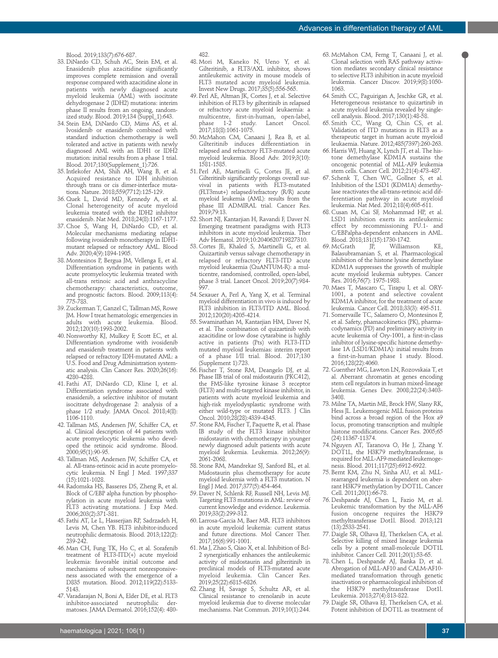Blood. 2019;133(7):676-687.

- 33. DiNardo CD, Schuh AC, Stein EM, et al. Enasidenib plus azacitidine significantly improves complete remission and overall response compared with azacitidine alone in patients with newly diagnosed acute myeloid leukemia (AML) with isocitrate dehydrogenase 2 (IDH2) mutations: interim phase II results from an ongoing, randomized study. Blood. 2019;134 (Suppl\_1):643.
- 34. Stein EM, DiNardo CD, Mims AS, et al. Ivosidenib or enasidenib combined with standard induction chemotherapy is well tolerated and active in patients with newly diagnosed AML with an IDH1 or IDH2 mutation: initial results from a phase 1 trial. Blood. 2017;130(Supplement\_1):726.
- 35. Intlekofer AM, Shih AH, Wang B, et al. Acquired resistance to IDH inhibition through trans or cis dimer-interface mutations. Nature. 2018;559(7712):125-129.
- 36. Quek L, David MD, Kennedy A, et al. Clonal heterogeneity of acute myeloid leukemia treated with the IDH2 inhibitor enasidenib. Nat Med. 2018;24(8):1167-1177.
- 37. Choe S, Wang H, DiNardo CD, et al. Molecular mechanisms mediating relapse following ivosidenib monotherapy in IDH1 mutant relapsed or refractory AML. Blood Adv. 2020;4(9):1894-1905.
- 38. Montesinos P, Bergua JM, Vellenga E, et al. Differentiation syndrome in patients with acute promyelocytic leukemia treated with all-trans retinoic acid and anthracycline chemotherapy: characteristics, outcome, and prognostic factors. Blood. 2009;113(4): 775-783.
- 39. Zuckerman T, Ganzel C, Tallman MS, Rowe JM. How I treat hematologic emergencies in adults with acute leukemia. Blood. 2012;120(10):1993-2002.
- 40. Norsworthy KJ, Mulkey F, Scott EC, et al. Differentiation syndrome with ivosidenib and enasidenib treatment in patients with relapsed or refractory IDH-mutated AML: a U.S. Food and Drug Administration systematic analysis. Clin Cancer Res. 2020;26(16): 4280-4288.
- 41. Fathi AT, DiNardo CD, Kline I, et al. Differentiation syndrome associated with enasidenib, a selective inhibitor of mutant isocitrate dehydrogenase 2: analysis of a phase 1/2 study. JAMA Oncol. 2018;4(8): 1106-1110.
- 42. Tallman MS, Andersen JW, Schiffer CA, et al. Clinical description of 44 patients with acute promyelocytic leukemia who developed the retinoic acid syndrome. Blood. 2000;95(1):90-95.
- 43. Tallman MS, Andersen JW, Schiffer CA, et al. All-trans-retinoic acid in acute promyelocytic leukemia. N Engl J Med. 1997;337 (15):1021-1028.
- 44. Radomska HS, Basseres DS, Zheng R, et al. Block of C/EBP alpha function by phosphorylation in acute myeloid leukemia with FLT3 activating mutations. J Exp Med. 2006;203(2):371-381.
- 45. Fathi AT, Le L, Hasserjian RP, Sadrzadeh H, Levis M, Chen YB. FLT3 inhibitor-induced neutrophilic dermatosis. Blood. 2013;122(2): 239-242.
- 46. Man CH, Fung TK, Ho C, et al. Sorafenib treatment of FLT3-ITD(+) acute myeloid leukemia: favorable initial outcome and mechanisms of subsequent nonresponsiveness associated with the emergence of a D835 mutation. Blood. 2012;119(22):5133- 5143.
- 47. Varadarajan N, Boni A, Elder DE, et al. FLT3 inhibitor-associated neutrophilic dermatoses. JAMA Dermatol. 2016;152(4): 480-

482.

- 48. Mori M, Kaneko N, Ueno Y, et al. Gilteritinib, a FLT3/AXL inhibitor, shows antileukemic activity in mouse models of FLT3 mutated acute myeloid leukemia. Invest New Drugs. 2017;35(5):556-565.
- 49. Perl AE, Altman JK, Cortes J, et al. Selective inhibition of FLT3 by gilteritinib in relapsed or refractory acute myeloid leukaemia: a multicentre, first-in-human, open-label,<br>phase 1-2 study. Lancet Oncol. Lancet Oncol. 2017;18(8):1061-1075.
- 50. McMahon CM, Canaani J, Rea B, et al. Gilteritinib induces differentiation in relapsed and refractory FLT3-mutated acute myeloid leukemia. Blood Adv. 2019;3(10): 1581-1585.
- 51. Perl AE, Martinelli G, Cortes JE, et al. Gilteritinib significantly prolongs overall survival in patients with FLT3-mutated (FLT3mut+) relapsed/refractory (R/R) acute myeloid leukemia (AML): results from the phase III ADMIRAL trial. Cancer Res. 2019;79:13.
- 52. Short NJ, Kantarjian H, Ravandi F, Daver N. Emerging treatment paradigms with FLT3 inhibitors in acute myeloid leukemia. Ther Adv Hematol. 2019;10:2040620719827310.
- 53. Cortes JE, Khaled S, Martinelli G, et al. Quizartinib versus salvage chemotherapy in relapsed or refractory FLT3-ITD acute myeloid leukaemia (QuANTUM-R): a multicentre, randomised, controlled, open-label, phase 3 trial. Lancet Oncol. 2019;20(7):984- 997.
- 54. Sexauer A, Perl A, Yang X, et al. Terminal myeloid differentiation in vivo is induced by FLT3 inhibition in FLT3/ITD AML. Blood. 2012;120(20):4205-4214.
- 55. Swaminathan M, Kantarjian HM, Daver N, et al. The combination of quizartinib with azacitidine or low dose cytarabine is highly active in patients (Pts) with FLT3-ITD mutated myeloid leukemias: interim report of a phase I/II trial. Blood. 2017;130 (Supplement 1):723.
- 56. Fischer T, Stone RM, Deangelo DJ, et al. Phase IIB trial of oral midostaurin (PKC412), the FMS-like tyrosine kinase 3 receptor (FLT3) and multi-targeted kinase inhibitor, in patients with acute myeloid leukemia and high-risk myelodysplastic syndrome with either wild-type or mutated FLT3. J Clin Oncol. 2010;28(28):4339-4345.
- 57. Stone RM, Fischer T, Paquette R, et al. Phase IB study of the FLT3 kinase inhibitor midostaurin with chemotherapy in younger newly diagnosed adult patients with acute myeloid leukemia. Leukemia. 2012;26(9): 2061-2068.
- 58. Stone RM, Mandrekar SJ, Sanford BL, et al. Midostaurin plus chemotherapy for acute myeloid leukemia with a FLT3 mutation. N Engl J Med. 2017;377(5):454-464.
- 59. Daver N, Schlenk RF, Russell NH, Levis MJ. Targeting FLT3 mutations in AML: review of current knowledge and evidence. Leukemia. 2019;33(2):299-312.
- 60. Larrosa-Garcia M, Baer MR. FLT3 inhibitors in acute myeloid leukemia: current status and future directions. Mol Cancer Ther. 2017;16(6):991-1001.
- 61. Ma J, Zhao S, Qiao X, et al. Inhibition of Bcl-2 synergistically enhances the antileukemic activity of midostaurin and gilteritinib in preclinical models of FLT3-mutated acute myeloid leukemia. Clin Cancer Res. 2019;25(22):6815-6826.
- 62. Zhang H, Savage S, Schultz AR, et al. Clinical resistance to crenolanib in acute myeloid leukemia due to diverse molecular mechanisms. Nat Commun. 2019;10(1):244.
- 63. McMahon CM, Ferng T, Canaani J, et al. Clonal selection with RAS pathway activation mediates secondary clinical resistance to selective FLT3 inhibition in acute myeloid leukemia. Cancer Discov. 2019;9(8):1050- 1063.
- 64. Smith CC, Paguirigan A, Jeschke GR, et al. Heterogeneous resistance to quizartinib in acute myeloid leukemia revealed by singlecell analysis. Blood. 2017;130(1):48-58.
- 65. Smith CC, Wang Q, Chin CS, et al. Validation of ITD mutations in FLT3 as a therapeutic target in human acute myeloid leukaemia. Nature. 2012;485(7397):260-263.
- 66. Harris WJ, Huang X, Lynch JT, et al. The histone demethylase KDM1A sustains the oncogenic potential of MLL-AF9 leukemia stem cells. Cancer Cell. 2012;21(4):473-487.
- 67. Schenk T, Chen WC, Gollner S, et al. Inhibition of the LSD1 (KDM1A) demethylase reactivates the all-trans-retinoic acid differentiation pathway in acute myeloid leukemia. Nat Med. 2012;18(4):605-611.
- 68. Cusan M, Cai SF, Mohammad HP, et al. LSD1 inhibition exerts its antileukemic effect by recommissioning PU.1- and C/EBPalpha-dependent enhancers in AML. Blood. 2018;131(15):1730-1742.<br>McGrath IP. Williamson
- 69. McGrath JP, Williamson KE, Balasubramanian S, et al. Pharmacological inhibition of the histone lysine demethylase KDM1A suppresses the growth of multiple acute myeloid leukemia subtypes. Cancer Res. 2016;76(7): 1975-1988.
- 70. Maes T, Mascaro C, Tirapu I, et al. ORY-1001, a potent and selective covalent KDM1A inhibitor, for the treatment of acute leukemia. Cancer Cell. 2018;33(3): 495-511.
- 71. Somervaille TC, Salamero O, Montesinos P, et al. Safety, phamacokinetics (PK), pharmacodynamics (PD) and preliminary activity in acute leukemia of Ory-1001, a first-in-class inhibitor of lysine-specific histone demethylase 1A (LSD1/KDM1A): initial results from a first-in-human phase 1 study. Blood. 2016;128(22):4060.
- 72. Guenther MG, Lawton LN, Rozovskaia T, et al. Aberrant chromatin at genes encoding stem cell regulators in human mixed-lineage leukemia. Genes Dev. 2008;22(24):3403- 3408.
- 73. Milne TA, Martin ME, Brock HW, Slany RK, Hess JL. Leukemogenic MLL fusion proteins bind across a broad region of the Hox a9 locus, promoting transcription and multiple histone modifications. Cancer Res. 2005;65 (24):11367-11374.
- 74. Nguyen AT, Taranova O, He J, Zhang Y. DOT1L, the H3K79 methyltransferase, is required for MLL-AF9-mediated leukemogenesis. Blood. 2011;117(25):6912-6922.
- 75. Bernt KM, Zhu N, Sinha AU, et al. MLLrearranged leukemia is dependent on aberrant H3K79 methylation by DOT1L. Cancer Cell. 2011;20(1):66-78.
- 76. Deshpande AJ, Chen L, Fazio M, et al. Leukemic transformation by the MLL-AF6 fusion oncogene requires the H3K79 methyltransferase Dot1l. Blood. 2013;121 (13):2533-2541.
- 77. Daigle SR, Olhava EJ, Therkelsen CA, et al. Selective killing of mixed lineage leukemia cells by a potent small-molecule DOT1L inhibitor. Cancer Cell. 2011;20(1):53-65.
- 78. Chen L, Deshpande AJ, Banka D, et al. Abrogation of MLL-AF10 and CALM-AF10 mediated transformation through genetic inactivation or pharmacological inhibition of the H3K79 methyltransferase Dot1l. Leukemia. 2013;27(4):813-822.
- 79. Daigle SR, Olhava EJ, Therkelsen CA, et al. Potent inhibition of DOT1L as treatment of